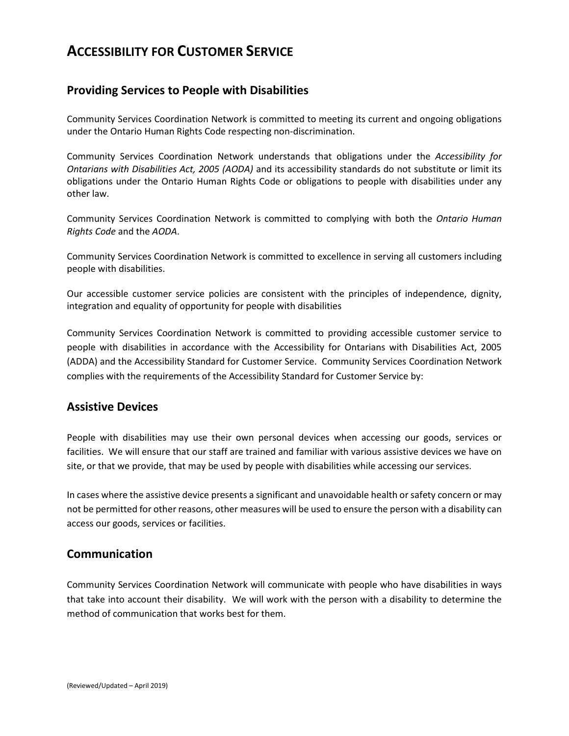# **ACCESSIBILITY FOR CUSTOMER SERVICE**

## **Providing Services to People with Disabilities**

Community Services Coordination Network is committed to meeting its current and ongoing obligations under the Ontario Human Rights Code respecting non-discrimination.

Community Services Coordination Network understands that obligations under the *Accessibility for Ontarians with Disabilities Act, 2005 (AODA)* and its accessibility standards do not substitute or limit its obligations under the Ontario Human Rights Code or obligations to people with disabilities under any other law.

Community Services Coordination Network is committed to complying with both the *Ontario Human Rights Code* and the *AODA*.

Community Services Coordination Network is committed to excellence in serving all customers including people with disabilities.

Our accessible customer service policies are consistent with the principles of independence, dignity, integration and equality of opportunity for people with disabilities

Community Services Coordination Network is committed to providing accessible customer service to people with disabilities in accordance with the Accessibility for Ontarians with Disabilities Act, 2005 (ADDA) and the Accessibility Standard for Customer Service. Community Services Coordination Network complies with the requirements of the Accessibility Standard for Customer Service by:

## **Assistive Devices**

People with disabilities may use their own personal devices when accessing our goods, services or facilities. We will ensure that our staff are trained and familiar with various assistive devices we have on site, or that we provide, that may be used by people with disabilities while accessing our services.

In cases where the assistive device presents a significant and unavoidable health or safety concern or may not be permitted for other reasons, other measures will be used to ensure the person with a disability can access our goods, services or facilities.

#### **Communication**

Community Services Coordination Network will communicate with people who have disabilities in ways that take into account their disability. We will work with the person with a disability to determine the method of communication that works best for them.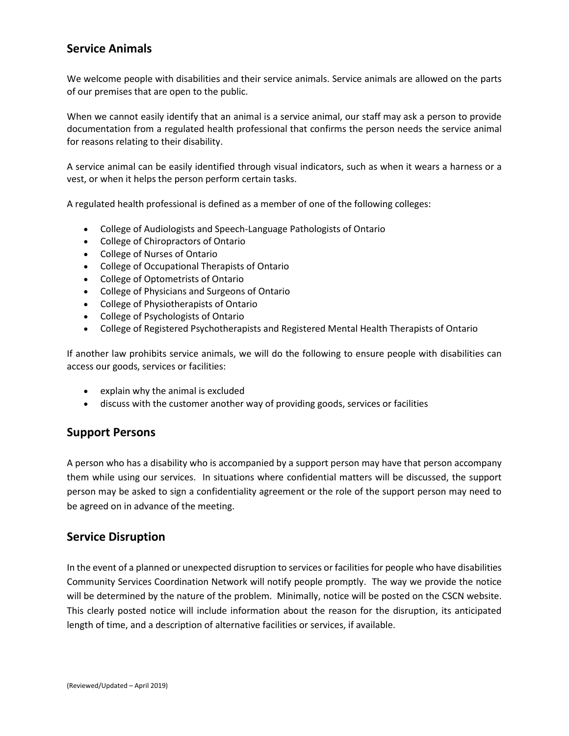## **Service Animals**

We welcome people with disabilities and their service animals. Service animals are allowed on the parts of our premises that are open to the public.

When we cannot easily identify that an animal is a service animal, our staff may ask a person to provide documentation from a regulated health professional that confirms the person needs the service animal for reasons relating to their disability.

A service animal can be easily identified through visual indicators, such as when it wears a harness or a vest, or when it helps the person perform certain tasks.

A regulated health professional is defined as a member of one of the following colleges:

- College of Audiologists and Speech-Language Pathologists of Ontario
- College of Chiropractors of Ontario
- College of Nurses of Ontario
- College of Occupational Therapists of Ontario
- College of Optometrists of Ontario
- College of Physicians and Surgeons of Ontario
- College of Physiotherapists of Ontario
- College of Psychologists of Ontario
- College of Registered Psychotherapists and Registered Mental Health Therapists of Ontario

If another law prohibits service animals, we will do the following to ensure people with disabilities can access our goods, services or facilities:

- explain why the animal is excluded
- discuss with the customer another way of providing goods, services or facilities

## **Support Persons**

A person who has a disability who is accompanied by a support person may have that person accompany them while using our services. In situations where confidential matters will be discussed, the support person may be asked to sign a confidentiality agreement or the role of the support person may need to be agreed on in advance of the meeting.

## **Service Disruption**

In the event of a planned or unexpected disruption to services or facilities for people who have disabilities Community Services Coordination Network will notify people promptly. The way we provide the notice will be determined by the nature of the problem. Minimally, notice will be posted on the CSCN website. This clearly posted notice will include information about the reason for the disruption, its anticipated length of time, and a description of alternative facilities or services, if available.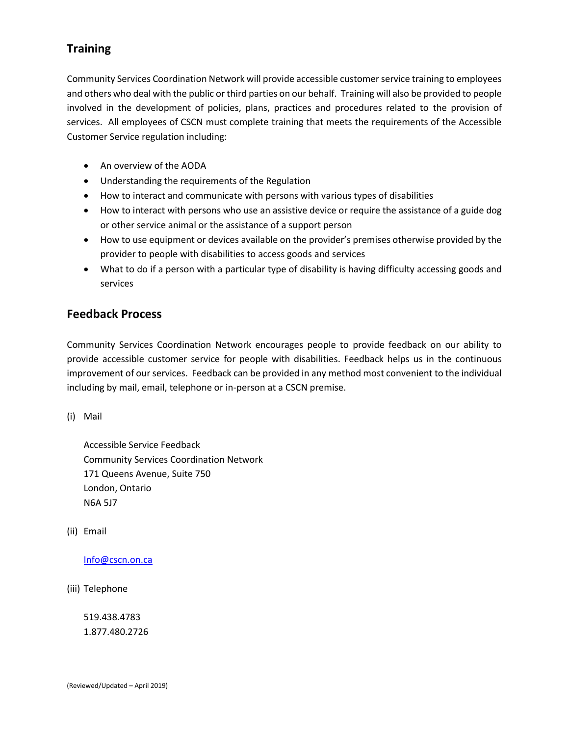## **Training**

Community Services Coordination Network will provide accessible customer service training to employees and others who deal with the public or third parties on our behalf. Training will also be provided to people involved in the development of policies, plans, practices and procedures related to the provision of services. All employees of CSCN must complete training that meets the requirements of the Accessible Customer Service regulation including:

- An overview of the AODA
- Understanding the requirements of the Regulation
- How to interact and communicate with persons with various types of disabilities
- How to interact with persons who use an assistive device or require the assistance of a guide dog or other service animal or the assistance of a support person
- How to use equipment or devices available on the provider's premises otherwise provided by the provider to people with disabilities to access goods and services
- What to do if a person with a particular type of disability is having difficulty accessing goods and services

## **Feedback Process**

Community Services Coordination Network encourages people to provide feedback on our ability to provide accessible customer service for people with disabilities. Feedback helps us in the continuous improvement of our services. Feedback can be provided in any method most convenient to the individual including by mail, email, telephone or in-person at a CSCN premise.

(i) Mail

Accessible Service Feedback Community Services Coordination Network 171 Queens Avenue, Suite 750 London, Ontario N6A 5J7

(ii) Email

[Info@cscn.on.ca](mailto:Info@cscn.on.ca)

(iii) Telephone

519.438.4783 1.877.480.2726